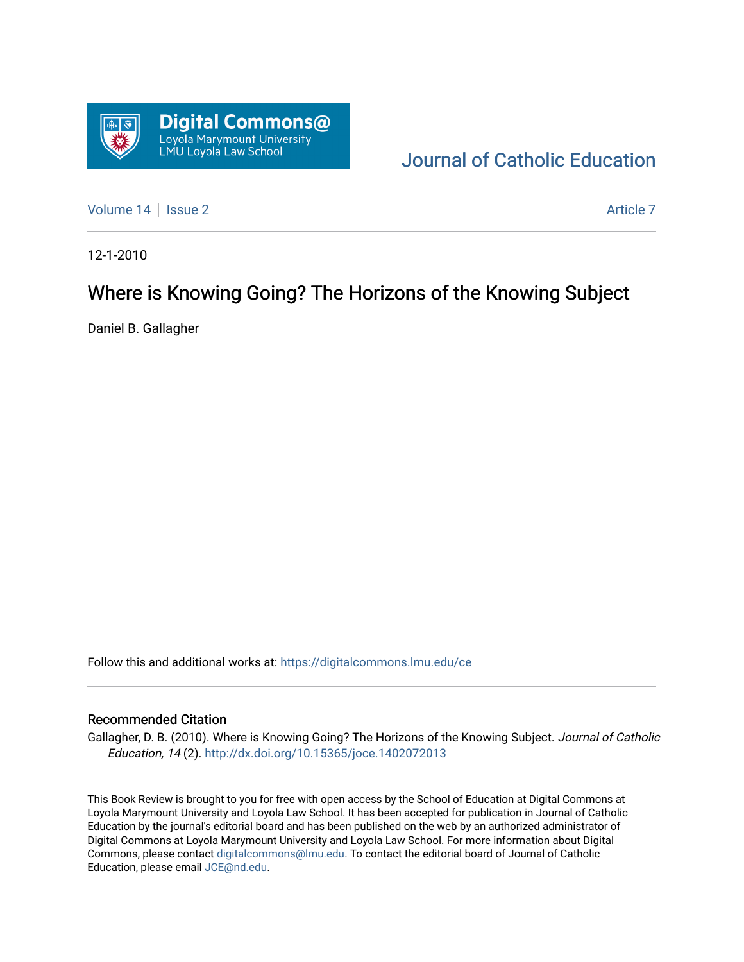

# [Journal of Catholic Education](https://digitalcommons.lmu.edu/ce)

[Volume 14](https://digitalcommons.lmu.edu/ce/vol14) Suitsue 2 [Article 7](https://digitalcommons.lmu.edu/ce/vol14/iss2/7) Article 7 Article 7

12-1-2010

## Where is Knowing Going? The Horizons of the Knowing Subject

Daniel B. Gallagher

Follow this and additional works at: [https://digitalcommons.lmu.edu/ce](https://digitalcommons.lmu.edu/ce?utm_source=digitalcommons.lmu.edu%2Fce%2Fvol14%2Fiss2%2F7&utm_medium=PDF&utm_campaign=PDFCoverPages)

### Recommended Citation

Gallagher, D. B. (2010). Where is Knowing Going? The Horizons of the Knowing Subject. Journal of Catholic Education, 14 (2). <http://dx.doi.org/10.15365/joce.1402072013>

This Book Review is brought to you for free with open access by the School of Education at Digital Commons at Loyola Marymount University and Loyola Law School. It has been accepted for publication in Journal of Catholic Education by the journal's editorial board and has been published on the web by an authorized administrator of Digital Commons at Loyola Marymount University and Loyola Law School. For more information about Digital Commons, please contact [digitalcommons@lmu.edu.](mailto:digitalcommons@lmu.edu) To contact the editorial board of Journal of Catholic Education, please email [JCE@nd.edu.](mailto:JCE@nd.edu)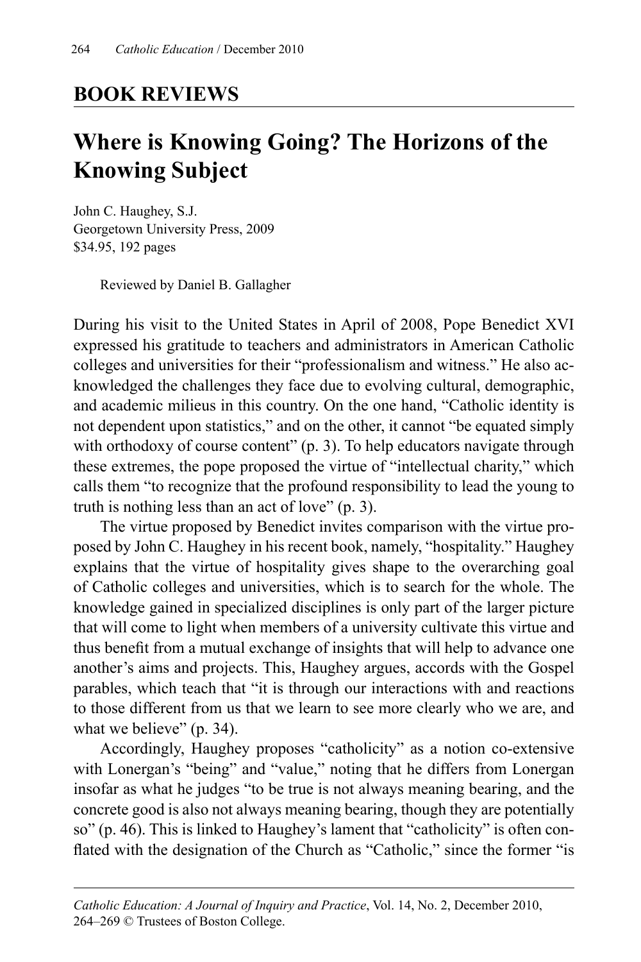### **BOOK REVIEWS**

# **Where is Knowing Going? The Horizons of the Knowing Subject**

John C. Haughey, S.J. Georgetown University Press, 2009 \$34.95, 192 pages

Reviewed by Daniel B. Gallagher

During his visit to the United States in April of 2008, Pope Benedict XVI expressed his gratitude to teachers and administrators in American Catholic colleges and universities for their "professionalism and witness." He also acknowledged the challenges they face due to evolving cultural, demographic, and academic milieus in this country. On the one hand, "Catholic identity is not dependent upon statistics," and on the other, it cannot "be equated simply with orthodoxy of course content" (p. 3). To help educators navigate through these extremes, the pope proposed the virtue of "intellectual charity," which calls them "to recognize that the profound responsibility to lead the young to truth is nothing less than an act of love" (p. 3).

The virtue proposed by Benedict invites comparison with the virtue proposed by John C. Haughey in his recent book, namely, "hospitality." Haughey explains that the virtue of hospitality gives shape to the overarching goal of Catholic colleges and universities, which is to search for the whole. The knowledge gained in specialized disciplines is only part of the larger picture that will come to light when members of a university cultivate this virtue and thus benefit from a mutual exchange of insights that will help to advance one another's aims and projects. This, Haughey argues, accords with the Gospel parables, which teach that "it is through our interactions with and reactions to those different from us that we learn to see more clearly who we are, and what we believe" (p. 34).

Accordingly, Haughey proposes "catholicity" as a notion co-extensive with Lonergan's "being" and "value," noting that he differs from Lonergan insofar as what he judges "to be true is not always meaning bearing, and the concrete good is also not always meaning bearing, though they are potentially so" (p. 46). This is linked to Haughey's lament that "catholicity" is often conflated with the designation of the Church as "Catholic," since the former "is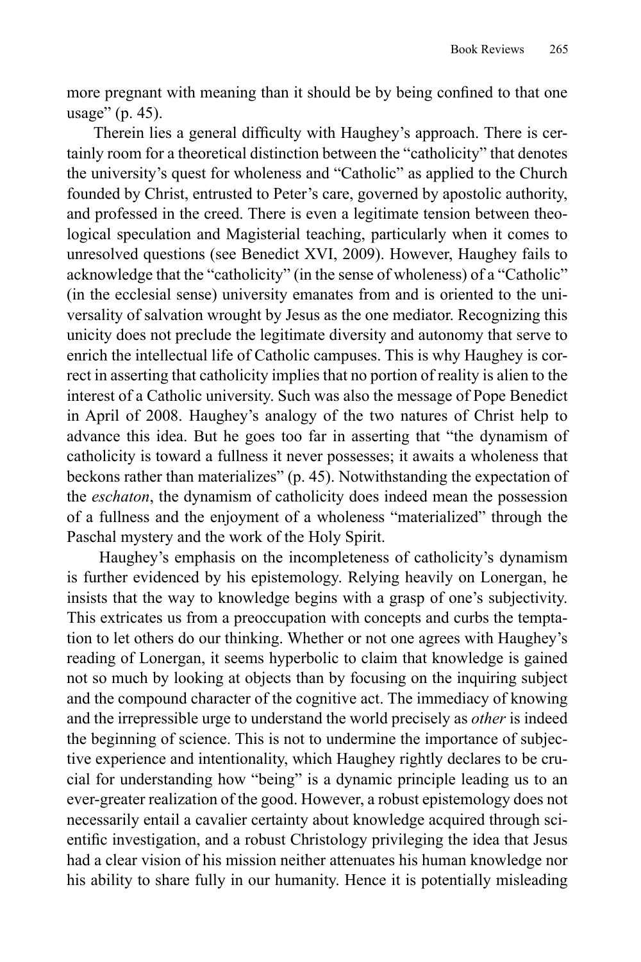more pregnant with meaning than it should be by being confined to that one usage" (p. 45).

Therein lies a general difficulty with Haughey's approach. There is certainly room for a theoretical distinction between the "catholicity" that denotes the university's quest for wholeness and "Catholic" as applied to the Church founded by Christ, entrusted to Peter's care, governed by apostolic authority, and professed in the creed. There is even a legitimate tension between theological speculation and Magisterial teaching, particularly when it comes to unresolved questions (see Benedict XVI, 2009). However, Haughey fails to acknowledge that the "catholicity" (in the sense of wholeness) of a "Catholic" (in the ecclesial sense) university emanates from and is oriented to the universality of salvation wrought by Jesus as the one mediator. Recognizing this unicity does not preclude the legitimate diversity and autonomy that serve to enrich the intellectual life of Catholic campuses. This is why Haughey is correct in asserting that catholicity implies that no portion of reality is alien to the interest of a Catholic university. Such was also the message of Pope Benedict in April of 2008. Haughey's analogy of the two natures of Christ help to advance this idea. But he goes too far in asserting that "the dynamism of catholicity is toward a fullness it never possesses; it awaits a wholeness that beckons rather than materializes" (p. 45). Notwithstanding the expectation of the *eschaton*, the dynamism of catholicity does indeed mean the possession of a fullness and the enjoyment of a wholeness "materialized" through the Paschal mystery and the work of the Holy Spirit.

 Haughey's emphasis on the incompleteness of catholicity's dynamism is further evidenced by his epistemology. Relying heavily on Lonergan, he insists that the way to knowledge begins with a grasp of one's subjectivity. This extricates us from a preoccupation with concepts and curbs the temptation to let others do our thinking. Whether or not one agrees with Haughey's reading of Lonergan, it seems hyperbolic to claim that knowledge is gained not so much by looking at objects than by focusing on the inquiring subject and the compound character of the cognitive act. The immediacy of knowing and the irrepressible urge to understand the world precisely as *other* is indeed the beginning of science. This is not to undermine the importance of subjective experience and intentionality, which Haughey rightly declares to be crucial for understanding how "being" is a dynamic principle leading us to an ever-greater realization of the good. However, a robust epistemology does not necessarily entail a cavalier certainty about knowledge acquired through scientific investigation, and a robust Christology privileging the idea that Jesus had a clear vision of his mission neither attenuates his human knowledge nor his ability to share fully in our humanity. Hence it is potentially misleading